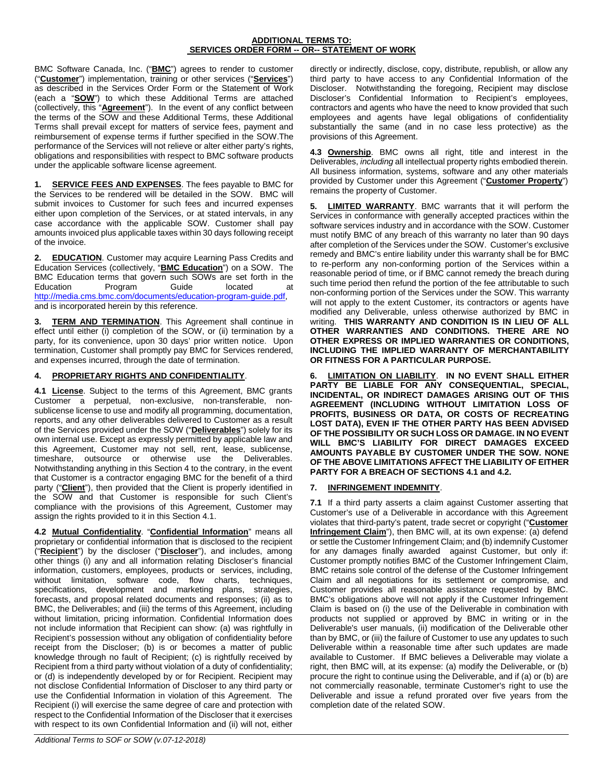## **ADDITIONAL TERMS TO: SERVICES ORDER FORM -- OR-- STATEMENT OF WORK**

BMC Software Canada, Inc. ("**BMC**") agrees to render to customer ("**Customer**") implementation, training or other services ("**Services**") as described in the Services Order Form or the Statement of Work (each a "**SOW**") to which these Additional Terms are attached (collectively, this "**Agreement**"). In the event of any conflict between the terms of the SOW and these Additional Terms, these Additional Terms shall prevail except for matters of service fees, payment and reimbursement of expense terms if further specified in the SOW.The performance of the Services will not relieve or alter either party's rights, obligations and responsibilities with respect to BMC software products under the applicable software license agreement.

**1. SERVICE FEES AND EXPENSES**. The fees payable to BMC for the Services to be rendered will be detailed in the SOW. BMC will submit invoices to Customer for such fees and incurred expenses either upon completion of the Services, or at stated intervals, in any case accordance with the applicable SOW. Customer shall pay amounts invoiced plus applicable taxes within 30 days following receipt of the invoice.

**2. EDUCATION**. Customer may acquire Learning Pass Credits and Education Services (collectively, "**BMC Education**") on a SOW. The BMC Education terms that govern such SOWs are set forth in the<br>Education Program Guide located at Program Guide located at [http://media.cms.bmc.com/documents/education-program-guide.pdf,](http://media.cms.bmc.com/documents/education-program-guide.pdf) and is incorporated herein by this reference.

**TERM AND TERMINATION**. This Agreement shall continue in effect until either (i) completion of the SOW, or (ii) termination by a party, for its convenience, upon 30 days' prior written notice. Upon termination, Customer shall promptly pay BMC for Services rendered, and expenses incurred, through the date of termination.

## **4. PROPRIETARY RIGHTS AND CONFIDENTIALITY**.

**4.1 License**. Subject to the terms of this Agreement, BMC grants Customer a perpetual, non-exclusive, non-transferable, nonsublicense license to use and modify all programming, documentation, reports, and any other deliverables delivered to Customer as a result of the Services provided under the SOW ("**Deliverables**") solely for its own internal use. Except as expressly permitted by applicable law and this Agreement, Customer may not sell, rent, lease, sublicense, timeshare, outsource or otherwise use the Deliverables. Notwithstanding anything in this Section 4 to the contrary, in the event that Customer is a contractor engaging BMC for the benefit of a third party ("**Client**"), then provided that the Client is properly identified in the SOW and that Customer is responsible for such Client's compliance with the provisions of this Agreement, Customer may assign the rights provided to it in this Section 4.1.

**4.2 Mutual Confidentiality**. "**Confidential Information**" means all proprietary or confidential information that is disclosed to the recipient ("**Recipient**") by the discloser ("**Discloser**"), and includes, among other things (i) any and all information relating Discloser's financial information, customers, employees, products or services, including, without limitation, software code, flow charts, techniques, specifications, development and marketing plans, strategies, forecasts, and proposal related documents and responses; (ii) as to BMC, the Deliverables; and (iii) the terms of this Agreement, including without limitation, pricing information. Confidential Information does not include information that Recipient can show: (a) was rightfully in Recipient's possession without any obligation of confidentiality before receipt from the Discloser; (b) is or becomes a matter of public knowledge through no fault of Recipient; (c) is rightfully received by Recipient from a third party without violation of a duty of confidentiality; or (d) is independently developed by or for Recipient. Recipient may not disclose Confidential Information of Discloser to any third party or use the Confidential Information in violation of this Agreement. The Recipient (i) will exercise the same degree of care and protection with respect to the Confidential Information of the Discloser that it exercises with respect to its own Confidential Information and (ii) will not, either

directly or indirectly, disclose, copy, distribute, republish, or allow any third party to have access to any Confidential Information of the Discloser. Notwithstanding the foregoing, Recipient may disclose Discloser's Confidential Information to Recipient's employees, contractors and agents who have the need to know provided that such employees and agents have legal obligations of confidentiality substantially the same (and in no case less protective) as the provisions of this Agreement.

**4.3 Ownership**. BMC owns all right, title and interest in the Deliverables, *including* all intellectual property rights embodied therein. All business information, systems, software and any other materials provided by Customer under this Agreement ("**Customer Property**") remains the property of Customer.

**5. LIMITED WARRANTY**. BMC warrants that it will perform the Services in conformance with generally accepted practices within the software services industry and in accordance with the SOW. Customer must notify BMC of any breach of this warranty no later than 90 days after completion of the Services under the SOW. Customer's exclusive remedy and BMC's entire liability under this warranty shall be for BMC to re-perform any non-conforming portion of the Services within a reasonable period of time, or if BMC cannot remedy the breach during such time period then refund the portion of the fee attributable to such non-conforming portion of the Services under the SOW. This warranty will not apply to the extent Customer, its contractors or agents have modified any Deliverable, unless otherwise authorized by BMC in writing. **THIS WARRANTY AND CONDITION IS IN LIEU OF ALL OTHER WARRANTIES AND CONDITIONS. THERE ARE NO OTHER EXPRESS OR IMPLIED WARRANTIES OR CONDITIONS, INCLUDING THE IMPLIED WARRANTY OF MERCHANTABILITY OR FITNESS FOR A PARTICULAR PURPOSE.**

**6. LIMITATION ON LIABILITY**. **IN NO EVENT SHALL EITHER PARTY BE LIABLE FOR ANY CONSEQUENTIAL, SPECIAL, INCIDENTAL, OR INDIRECT DAMAGES ARISING OUT OF THIS AGREEMENT (INCLUDING WITHOUT LIMITATION LOSS OF PROFITS, BUSINESS OR DATA, OR COSTS OF RECREATING LOST DATA), EVEN IF THE OTHER PARTY HAS BEEN ADVISED OF THE POSSIBILITY OR SUCH LOSS OR DAMAGE. IN NO EVENT WILL BMC'S LIABILITY FOR DIRECT DAMAGES EXCEED AMOUNTS PAYABLE BY CUSTOMER UNDER THE SOW. NONE OF THE ABOVE LIMITATIONS AFFECT THE LIABILITY OF EITHER PARTY FOR A BREACH OF SECTIONS 4.1 and 4.2.**

## **7. INFRINGEMENT INDEMNITY**.

**7.1** If a third party asserts a claim against Customer asserting that Customer's use of a Deliverable in accordance with this Agreement violates that third-party's patent, trade secret or copyright ("**Customer Infringement Claim**"), then BMC will, at its own expense: (a) defend or settle the Customer Infringement Claim; and (b) indemnify Customer for any damages finally awarded against Customer, but only if: Customer promptly notifies BMC of the Customer Infringement Claim, BMC retains sole control of the defense of the Customer Infringement Claim and all negotiations for its settlement or compromise, and Customer provides all reasonable assistance requested by BMC. BMC's obligations above will not apply if the Customer Infringement Claim is based on (i) the use of the Deliverable in combination with products not supplied or approved by BMC in writing or in the Deliverable's user manuals, (ii) modification of the Deliverable other than by BMC, or (iii) the failure of Customer to use any updates to such Deliverable within a reasonable time after such updates are made available to Customer. If BMC believes a Deliverable may violate a right, then BMC will, at its expense: (a) modify the Deliverable, or (b) procure the right to continue using the Deliverable, and if (a) or (b) are not commercially reasonable, terminate Customer's right to use the Deliverable and issue a refund prorated over five years from the completion date of the related SOW.